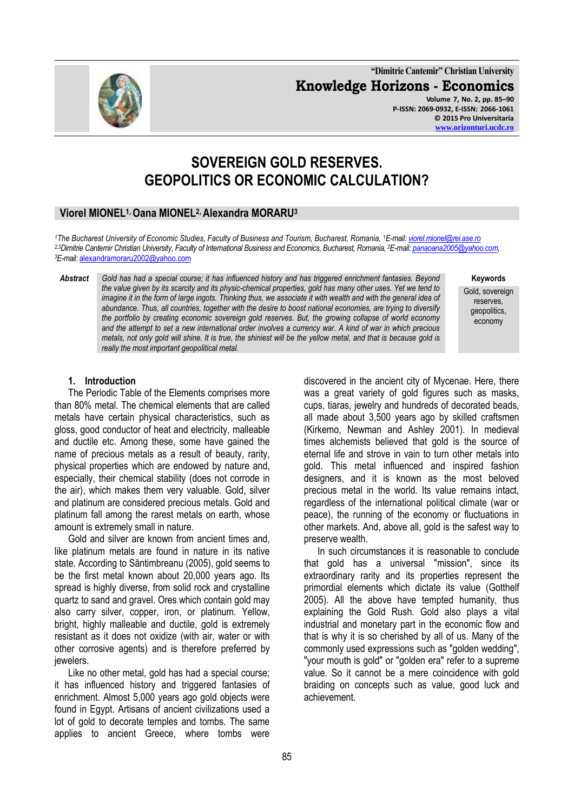**"Dimitrie Cantemir" Christian University Knowledge Horizons - Economics Volume 7, No. 2, pp. 85–90 P-ISSN: 2069-0932, E-ISSN: 2066-1061**



# **SOVEREIGN GOLD RESERVES. GEOPOLITICS OR ECONOMIC CALCULATION?**

## **Viorel MIONEL1, Oana MIONEL2, Alexandra MORARU<sup>3</sup>**

*<sup>1</sup>The Bucharest University of Economic Studies, Faculty of Business and Tourism, Bucharest, Romania, <sup>1</sup>E-mail[: viorel.mionel@rei.ase.ro](mailto:viorel.mionel@rei.ase.ro) 2,3Dimitrie Cantemir Christian University, Faculty of International Business and Economics, Bucharest, Romania, <sup>2</sup>E-mail[: panaoana2005@yahoo.com,](mailto:panaoana2005@yahoo.com) <sup>3</sup>E-mail:* [alexandramoraru2002@yahoo.com](mailto:alexandramoraru2002@yahoo.com) 

*Abstract Gold has had a special course; it has influenced history and has triggered enrichment fantasies. Beyond the value given by its scarcity and its physic-chemical properties, gold has many other uses. Yet we tend to imagine it in the form of large ingots. Thinking thus, we associate it with wealth and with the general idea of abundance. Thus, all countries, together with the desire to boost national economies, are trying to diversify the portfolio by creating economic sovereign gold reserves. But, the growing collapse of world economy and the attempt to set a new international order involves a currency war. A kind of war in which precious metals, not only gold will shine. It is true, the shiniest will be the yellow metal, and that is because gold is really the most important geopolitical metal.*

#### **1. Introduction**

The Periodic Table of the Elements comprises more than 80% metal. The chemical elements that are called metals have certain physical characteristics, such as gloss, good conductor of heat and electricity, malleable and ductile etc. Among these, some have gained the name of precious metals as a result of beauty, rarity, physical properties which are endowed by nature and, especially, their chemical stability (does not corrode in the air), which makes them very valuable. Gold, silver and platinum are considered precious metals. Gold and platinum fall among the rarest metals on earth, whose amount is extremely small in nature.

Gold and silver are known from ancient times and, like platinum metals are found in nature in its native state. According to Săntimbreanu (2005), gold seems to be the first metal known about 20,000 years ago. Its spread is highly diverse, from solid rock and crystalline quartz to sand and gravel. Ores which contain gold may also carry silver, copper, iron, or platinum. Yellow, bright, highly malleable and ductile, gold is extremely resistant as it does not oxidize (with air, water or with other corrosive agents) and is therefore preferred by iewelers.

Like no other metal, gold has had a special course; it has influenced history and triggered fantasies of enrichment. Almost 5,000 years ago gold objects were found in Egypt. Artisans of ancient civilizations used a lot of gold to decorate temples and tombs. The same applies to ancient Greece, where tombs were

discovered in the ancient city of Mycenae. Here, there was a great variety of gold figures such as masks, cups, tiaras, jewelry and hundreds of decorated beads, all made about 3,500 years ago by skilled craftsmen (Kirkemo, Newman and Ashley 2001). In medieval times alchemists believed that gold is the source of eternal life and strove in vain to turn other metals into gold. This metal influenced and inspired fashion designers, and it is known as the most beloved precious metal in the world. Its value remains intact, regardless of the international political climate (war or peace), the running of the economy or fluctuations in other markets. And, above all, gold is the safest way to preserve wealth.

In such circumstances it is reasonable to conclude that gold has a universal "mission", since its extraordinary rarity and its properties represent the primordial elements which dictate its value (Gotthelf 2005). All the above have tempted humanity, thus explaining the Gold Rush. Gold also plays a vital industrial and monetary part in the economic flow and that is why it is so cherished by all of us. Many of the commonly used expressions such as "golden wedding", "your mouth is gold" or "golden era" refer to a supreme value. So it cannot be a mere coincidence with gold braiding on concepts such as value, good luck and achievement.

Gold, sovereign reserves, geopolitics, economy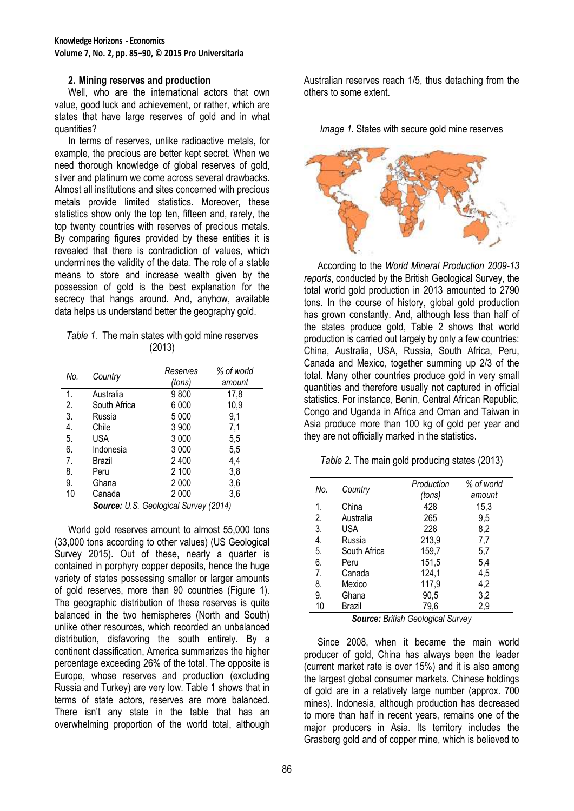### **2. Mining reserves and production**

Well, who are the international actors that own value, good luck and achievement, or rather, which are states that have large reserves of gold and in what quantities?

In terms of reserves, unlike radioactive metals, for example, the precious are better kept secret. When we need thorough knowledge of global reserves of gold, silver and platinum we come across several drawbacks. Almost all institutions and sites concerned with precious metals provide limited statistics. Moreover, these statistics show only the top ten, fifteen and, rarely, the top twenty countries with reserves of precious metals. By comparing figures provided by these entities it is revealed that there is contradiction of values, which undermines the validity of the data. The role of a stable means to store and increase wealth given by the possession of gold is the best explanation for the secrecy that hangs around. And, anyhow, available data helps us understand better the geography gold.

|        | Table 1. The main states with gold mine reserves |  |
|--------|--------------------------------------------------|--|
| (2013) |                                                  |  |

| No. | Country      | Reserves<br>(tons) | % of world<br>amount |
|-----|--------------|--------------------|----------------------|
| 1.  | Australia    | 9800               | 17,8                 |
| 2.  | South Africa | 6 000              | 10,9                 |
| 3.  | Russia       | 5 0 0 0            | 9,1                  |
| 4.  | Chile        | 3 900              | 7,1                  |
| 5.  | <b>USA</b>   | 3 0 0 0            | 5,5                  |
| 6.  | Indonesia    | 3 0 0 0            | 5,5                  |
| 7.  | Brazil       | 2400               | 4,4                  |
| 8.  | Peru         | 2 100              | 3,8                  |
| 9.  | Ghana        | 2 0 0 0            | 3,6                  |
| 10  | Canada       | 2 0 0 0            | 3,6                  |

*Source: U.S. Geological Survey (2014)*

World gold reserves amount to almost 55,000 tons (33,000 tons according to other values) (US Geological Survey 2015). Out of these, nearly a quarter is contained in porphyry copper deposits, hence the huge variety of states possessing smaller or larger amounts of gold reserves, more than 90 countries (Figure 1). The geographic distribution of these reserves is quite balanced in the two hemispheres (North and South) unlike other resources, which recorded an unbalanced distribution, disfavoring the south entirely. By a continent classification, America summarizes the higher percentage exceeding 26% of the total. The opposite is Europe, whose reserves and production (excluding Russia and Turkey) are very low. Table 1 shows that in terms of state actors, reserves are more balanced. There isn't any state in the table that has an overwhelming proportion of the world total, although

Australian reserves reach 1/5, thus detaching from the others to some extent.

*Image 1.* States with secure gold mine reserves



According to the *World Mineral Production 2009-13 reports*, conducted by the British Geological Survey, the total world gold production in 2013 amounted to 2790 tons. In the course of history, global gold production has grown constantly. And, although less than half of the states produce gold, Table 2 shows that world production is carried out largely by only a few countries: China, Australia, USA, Russia, South Africa, Peru, Canada and Mexico, together summing up 2/3 of the total. Many other countries produce gold in very small quantities and therefore usually not captured in official statistics. For instance, Benin, Central African Republic, Congo and Uganda in Africa and Oman and Taiwan in Asia produce more than 100 kg of gold per year and they are not officially marked in the statistics.

*Table 2.* The main gold producing states (2013)

| No. | Country      | Production | % of world |
|-----|--------------|------------|------------|
|     |              | (tons)     | amount     |
| 1.  | China        | 428        | 15,3       |
| 2.  | Australia    | 265        | 9,5        |
| 3.  | USA          | 228        | 8,2        |
| 4.  | Russia       | 213,9      | 7,7        |
| 5.  | South Africa | 159,7      | 5,7        |
| 6.  | Peru         | 151,5      | 5,4        |
| 7.  | Canada       | 124,1      | 4,5        |
| 8.  | Mexico       | 117,9      | 4,2        |
| 9.  | Ghana        | 90,5       | 3,2        |
| 10  | Brazil       | 79,6       | 2,9        |

*Source: British Geological Survey*

Since 2008, when it became the main world producer of gold, China has always been the leader (current market rate is over 15%) and it is also among the largest global consumer markets. Chinese holdings of gold are in a relatively large number (approx. 700 mines). Indonesia, although production has decreased to more than half in recent years, remains one of the major producers in Asia. Its territory includes the Grasberg gold and of copper mine, which is believed to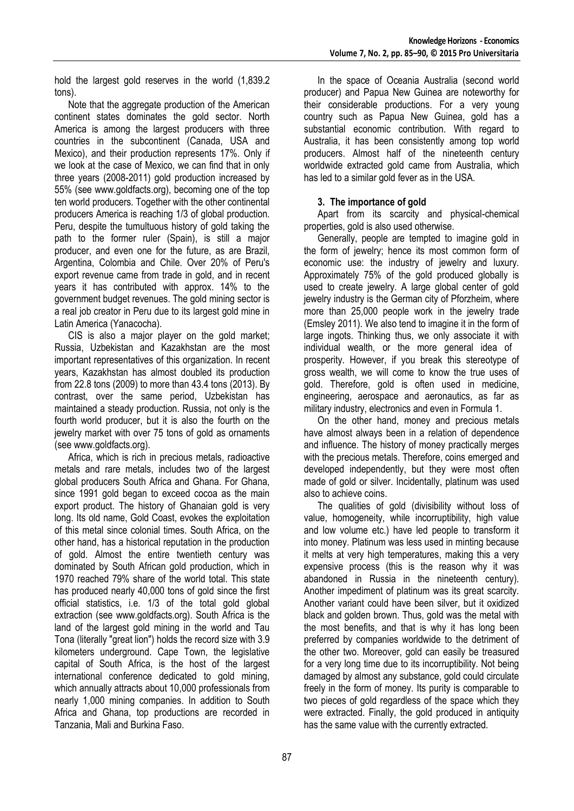hold the largest gold reserves in the world (1,839.2 tons).

Note that the aggregate production of the American continent states dominates the gold sector. North America is among the largest producers with three countries in the subcontinent (Canada, USA and Mexico), and their production represents 17%. Only if we look at the case of Mexico, we can find that in only three years (2008-2011) gold production increased by 55% (see www.goldfacts.org), becoming one of the top ten world producers. Together with the other continental producers America is reaching 1/3 of global production. Peru, despite the tumultuous history of gold taking the path to the former ruler (Spain), is still a major producer, and even one for the future, as are Brazil, Argentina, Colombia and Chile. Over 20% of Peru's export revenue came from trade in gold, and in recent years it has contributed with approx. 14% to the government budget revenues. The gold mining sector is a real job creator in Peru due to its largest gold mine in Latin America (Yanacocha).

CIS is also a major player on the gold market; Russia, Uzbekistan and Kazakhstan are the most important representatives of this organization. In recent years, Kazakhstan has almost doubled its production from 22.8 tons (2009) to more than 43.4 tons (2013). By contrast, over the same period, Uzbekistan has maintained a steady production. Russia, not only is the fourth world producer, but it is also the fourth on the jewelry market with over 75 tons of gold as ornaments (see www.goldfacts.org).

Africa, which is rich in precious metals, radioactive metals and rare metals, includes two of the largest global producers South Africa and Ghana. For Ghana, since 1991 gold began to exceed cocoa as the main export product. The history of Ghanaian gold is very long. Its old name, Gold Coast, evokes the exploitation of this metal since colonial times. South Africa, on the other hand, has a historical reputation in the production of gold. Almost the entire twentieth century was dominated by South African gold production, which in 1970 reached 79% share of the world total. This state has produced nearly 40,000 tons of gold since the first official statistics, i.e. 1/3 of the total gold global extraction (see www.goldfacts.org). South Africa is the land of the largest gold mining in the world and Tau Tona (literally "great lion") holds the record size with 3.9 kilometers underground. Cape Town, the legislative capital of South Africa, is the host of the largest international conference dedicated to gold mining, which annually attracts about 10,000 professionals from nearly 1,000 mining companies. In addition to South Africa and Ghana, top productions are recorded in Tanzania, Mali and Burkina Faso.

In the space of Oceania Australia (second world producer) and Papua New Guinea are noteworthy for their considerable productions. For a very young country such as Papua New Guinea, gold has a substantial economic contribution. With regard to Australia, it has been consistently among top world producers. Almost half of the nineteenth century worldwide extracted gold came from Australia, which has led to a similar gold fever as in the USA.

# **3. The importance of gold**

Apart from its scarcity and physical-chemical properties, gold is also used otherwise.

Generally, people are tempted to imagine gold in the form of jewelry; hence its most common form of economic use: the industry of jewelry and luxury. Approximately 75% of the gold produced globally is used to create jewelry. A large global center of gold jewelry industry is the German city of Pforzheim, where more than 25,000 people work in the jewelry trade (Emsley 2011). We also tend to imagine it in the form of large ingots. Thinking thus, we only associate it with individual wealth, or the more general idea of prosperity. However, if you break this stereotype of gross wealth, we will come to know the true uses of gold. Therefore, gold is often used in medicine, engineering, aerospace and aeronautics, as far as military industry, electronics and even in Formula 1.

On the other hand, money and precious metals have almost always been in a relation of dependence and influence. The history of money practically merges with the precious metals. Therefore, coins emerged and developed independently, but they were most often made of gold or silver. Incidentally, platinum was used also to achieve coins.

The qualities of gold (divisibility without loss of value, homogeneity, while incorruptibility, high value and low volume etc.) have led people to transform it into money. Platinum was less used in minting because it melts at very high temperatures, making this a very expensive process (this is the reason why it was abandoned in Russia in the nineteenth century). Another impediment of platinum was its great scarcity. Another variant could have been silver, but it oxidized black and golden brown. Thus, gold was the metal with the most benefits, and that is why it has long been preferred by companies worldwide to the detriment of the other two. Moreover, gold can easily be treasured for a very long time due to its incorruptibility. Not being damaged by almost any substance, gold could circulate freely in the form of money. Its purity is comparable to two pieces of gold regardless of the space which they were extracted. Finally, the gold produced in antiquity has the same value with the currently extracted.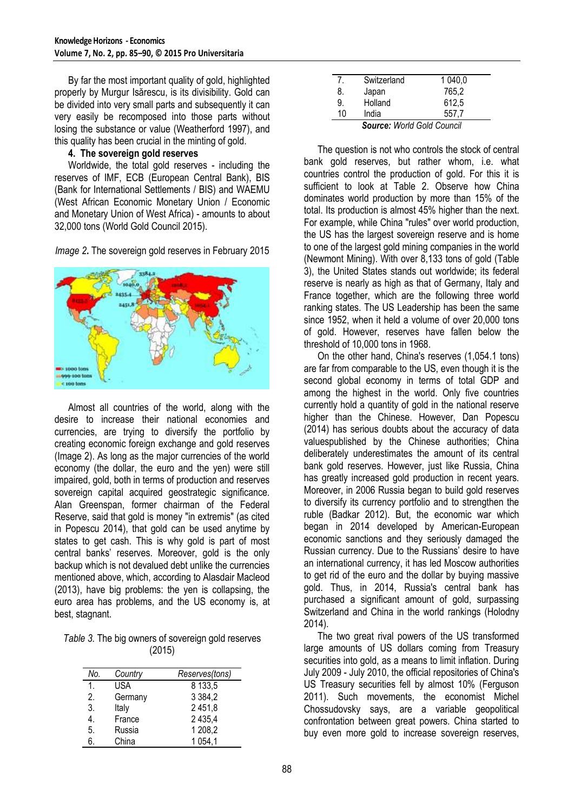By far the most important quality of gold, highlighted properly by Murgur Isărescu, is its divisibility. Gold can be divided into very small parts and subsequently it can very easily be recomposed into those parts without losing the substance or value (Weatherford 1997), and this quality has been crucial in the minting of gold.

### **4. The sovereign gold reserves**

Worldwide, the total gold reserves - including the reserves of IMF, ECB (European Central Bank), BIS (Bank for International Settlements / BIS) and WAEMU (West African Economic Monetary Union / Economic and Monetary Union of West Africa) - amounts to about 32,000 tons (World Gold Council 2015).

*Image 2***.** The sovereign gold reserves in February 2015



Almost all countries of the world, along with the desire to increase their national economies and currencies, are trying to diversify the portfolio by creating economic foreign exchange and gold reserves (Image 2). As long as the major currencies of the world economy (the dollar, the euro and the yen) were still impaired, gold, both in terms of production and reserves sovereign capital acquired geostrategic significance. Alan Greenspan, former chairman of the Federal Reserve, said that gold is money "in extremis" (as cited in Popescu 2014), that gold can be used anytime by states to get cash. This is why gold is part of most central banks' reserves. Moreover, gold is the only backup which is not devalued debt unlike the currencies mentioned above, which, according to Alasdair Macleod (2013), have big problems: the yen is collapsing, the euro area has problems, and the US economy is, at best, stagnant.

| Table 3. The big owners of sovereign gold reserves |
|----------------------------------------------------|
| (2015)                                             |

| No. | Country | Reserves(tons) |
|-----|---------|----------------|
| 1.  | USA     | 8 133.5        |
| 2.  | Germany | 3 3 8 4 , 2    |
| 3.  | Italy   | 2 451,8        |
| 4.  | France  | 2 4 3 5 4      |
| 5.  | Russia  | 1 208,2        |
| 6.  | China   | 1 0 54,1       |

|    | Switzerland | 1 040,0      |
|----|-------------|--------------|
| 8. | Japan       | 765,2        |
| 9. | Holland     | 612,5        |
| 10 | India       | 557.7        |
|    | -           | <br>$\cdots$ |

*Source: World Gold Council*

The question is not who controls the stock of central bank gold reserves, but rather whom, i.e. what countries control the production of gold. For this it is sufficient to look at Table 2. Observe how China dominates world production by more than 15% of the total. Its production is almost 45% higher than the next. For example, while China "rules" over world production, the US has the largest sovereign reserve and is home to one of the largest gold mining companies in the world (Newmont Mining). With over 8,133 tons of gold (Table 3), the United States stands out worldwide; its federal reserve is nearly as high as that of Germany, Italy and France together, which are the following three world ranking states. The US Leadership has been the same since 1952, when it held a volume of over 20,000 tons of gold. However, reserves have fallen below the threshold of 10,000 tons in 1968.

On the other hand, China's reserves (1,054.1 tons) are far from comparable to the US, even though it is the second global economy in terms of total GDP and among the highest in the world. Only five countries currently hold a quantity of gold in the national reserve higher than the Chinese. However, Dan Popescu (2014) has serious doubts about the accuracy of data valuespublished by the Chinese authorities; China deliberately underestimates the amount of its central bank gold reserves. However, just like Russia, China has greatly increased gold production in recent years. Moreover, in 2006 Russia began to build gold reserves to diversify its currency portfolio and to strengthen the ruble (Badkar 2012). But, the economic war which began in 2014 developed by American-European economic sanctions and they seriously damaged the Russian currency. Due to the Russians' desire to have an international currency, it has led Moscow authorities to get rid of the euro and the dollar by buying massive gold. Thus, in 2014, Russia's central bank has purchased a significant amount of gold, surpassing Switzerland and China in the world rankings (Holodny 2014).

The two great rival powers of the US transformed large amounts of US dollars coming from Treasury securities into gold, as a means to limit inflation. During July 2009 - July 2010, the official repositories of China's US Treasury securities fell by almost 10% (Ferguson 2011). Such movements, the economist Michel Chossudovsky says, are a variable geopolitical confrontation between great powers. China started to buy even more gold to increase sovereign reserves,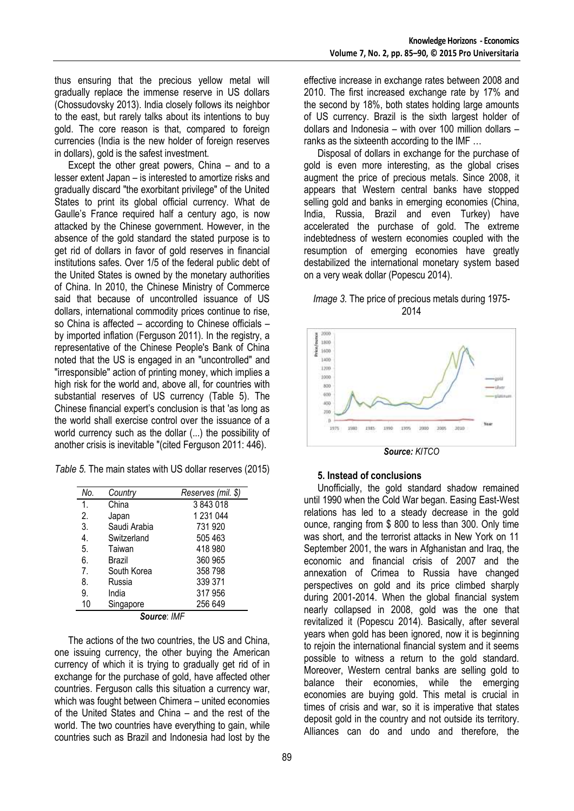thus ensuring that the precious yellow metal will gradually replace the immense reserve in US dollars (Chossudovsky 2013). India closely follows its neighbor to the east, but rarely talks about its intentions to buy gold. The core reason is that, compared to foreign currencies (India is the new holder of foreign reserves in dollars), gold is the safest investment.

Except the other great powers, China – and to a lesser extent Japan – is interested to amortize risks and gradually discard "the exorbitant privilege" of the United States to print its global official currency. What de Gaulle's France required half a century ago, is now attacked by the Chinese government. However, in the absence of the gold standard the stated purpose is to get rid of dollars in favor of gold reserves in financial institutions safes. Over 1/5 of the federal public debt of the United States is owned by the monetary authorities of China. In 2010, the Chinese Ministry of Commerce said that because of uncontrolled issuance of US dollars, international commodity prices continue to rise, so China is affected – according to Chinese officials – by imported inflation (Ferguson 2011). In the registry, a representative of the Chinese People's Bank of China noted that the US is engaged in an "uncontrolled" and "irresponsible" action of printing money, which implies a high risk for the world and, above all, for countries with substantial reserves of US currency (Table 5). The Chinese financial expert's conclusion is that 'as long as the world shall exercise control over the issuance of a world currency such as the dollar (...) the possibility of another crisis is inevitable "(cited Ferguson 2011: 446).

| Table 5. The main states with US dollar reserves (2015) |  |  |
|---------------------------------------------------------|--|--|
|---------------------------------------------------------|--|--|

| No.                                | Country      | Reserves (mil. \$) |
|------------------------------------|--------------|--------------------|
| 1.                                 | China        | 3843018            |
| 2.                                 | Japan        | 1 231 044          |
| 3.                                 | Saudi Arabia | 731 920            |
| 4.                                 | Switzerland  | 505 463            |
| 5.                                 | Taiwan       | 418 980            |
| 6.                                 | Brazil       | 360 965            |
| 7 <sub>1</sub>                     | South Korea  | 358 798            |
| 8.                                 | Russia       | 339 371            |
| 9.                                 | India        | 317956             |
| 10                                 | Singapore    | 256 649            |
| $C_{\mathcal{O}}$ . The set of $L$ |              |                    |

*Source*: *IMF*

The actions of the two countries, the US and China, one issuing currency, the other buying the American currency of which it is trying to gradually get rid of in exchange for the purchase of gold, have affected other countries. Ferguson calls this situation a currency war, which was fought between Chimera – united economies of the United States and China – and the rest of the world. The two countries have everything to gain, while countries such as Brazil and Indonesia had lost by the

effective increase in exchange rates between 2008 and 2010. The first increased exchange rate by 17% and the second by 18%, both states holding large amounts of US currency. Brazil is the sixth largest holder of dollars and Indonesia – with over 100 million dollars – ranks as the sixteenth according to the IMF …

Disposal of dollars in exchange for the purchase of gold is even more interesting, as the global crises augment the price of precious metals. Since 2008, it appears that Western central banks have stopped selling gold and banks in emerging economies (China, India, Russia, Brazil and even Turkey) have accelerated the purchase of gold. The extreme indebtedness of western economies coupled with the resumption of emerging economies have greatly destabilized the international monetary system based on a very weak dollar (Popescu 2014).

*Image 3.* The price of precious metals during 1975- 2014



*Source: KITCO*

### **5. Instead of conclusions**

Unofficially, the gold standard shadow remained until 1990 when the Cold War began. Easing East-West relations has led to a steady decrease in the gold ounce, ranging from \$ 800 to less than 300. Only time was short, and the terrorist attacks in New York on 11 September 2001, the wars in Afghanistan and Iraq, the economic and financial crisis of 2007 and the annexation of Crimea to Russia have changed perspectives on gold and its price climbed sharply during 2001-2014. When the global financial system nearly collapsed in 2008, gold was the one that revitalized it (Popescu 2014). Basically, after several years when gold has been ignored, now it is beginning to rejoin the international financial system and it seems possible to witness a return to the gold standard. Moreover, Western central banks are selling gold to balance their economies, while the emerging economies are buying gold. This metal is crucial in times of crisis and war, so it is imperative that states deposit gold in the country and not outside its territory. Alliances can do and undo and therefore, the